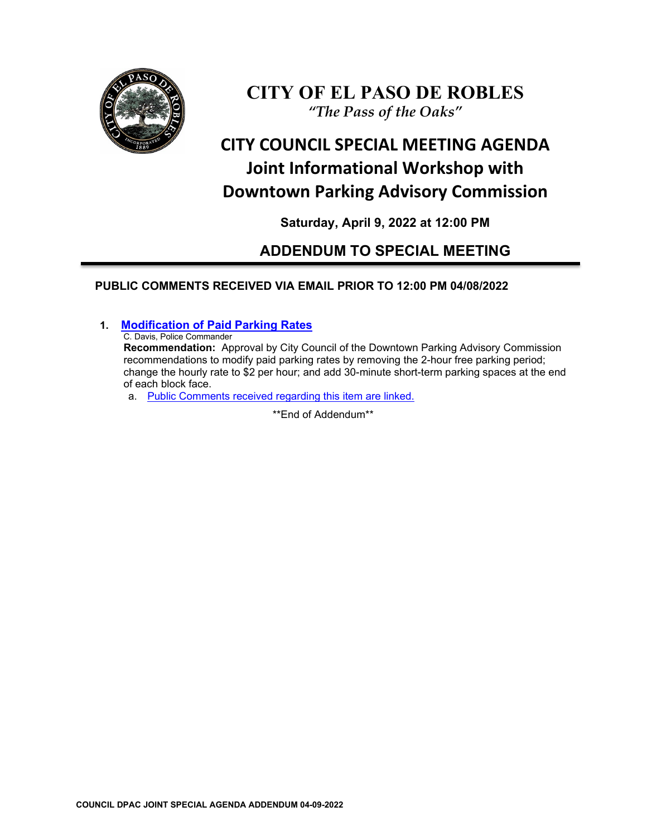

## **CITY OF EL PASO DE ROBLES** *"The Pass of the Oaks"*

# **CITY COUNCIL SPECIAL MEETING AGENDA Joint Informational Workshop with Downtown Parking Advisory Commission**

### **Saturday, April 9, 2022 at 12:00 PM**

## **ADDENDUM TO SPECIAL MEETING**

### **PUBLIC COMMENTS RECEIVED VIA EMAIL PRIOR TO 12:00 PM 04/08/2022**

### **1. [Modification of Paid Parking Rates](https://www.prcity.com/DocumentCenter/View/33536/April-9-2022-City-Council-Special-Agenda-Item-01-PDF)**

C. Davis, Police Commander

**Recommendation:** Approval by City Council of the Downtown Parking Advisory Commission recommendations to modify paid parking rates by removing the 2-hour free parking period; change the hourly rate to \$2 per hour; and add 30-minute short-term parking spaces at the end of each block face.

a. [Public Comments received regarding this item are linked.](https://www.prcity.com/DocumentCenter/View/33554/April-9-2022-City-Council-DPAC-Joint-Special-Agenda-Addendum---Item-01-Public-Comments-PDF)

\*\*End of Addendum\*\*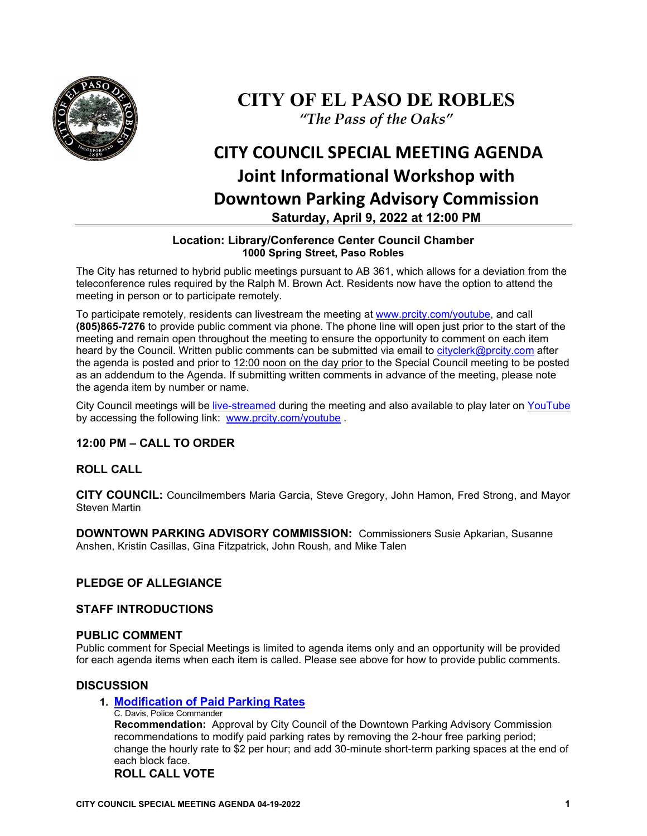

## **CITY OF EL PASO DE ROBLES** *"The Pass of the Oaks"*

# **CITY COUNCIL SPECIAL MEETING AGENDA Joint Informational Workshop with Downtown Parking Advisory Commission Saturday, April 9, 2022 at 12:00 PM**

#### **Location: Library/Conference Center Council Chamber 1000 Spring Street, Paso Robles**

The City has returned to hybrid public meetings pursuant to AB 361, which allows for a deviation from the teleconference rules required by the Ralph M. Brown Act. Residents now have the option to attend the meeting in person or to participate remotely.

To participate remotely, residents can livestream the meeting at [www.prcity.com/youtube,](http://www.prcity.com/youtube) and call **(805)865-7276** to provide public comment via phone. The phone line will open just prior to the start of the meeting and remain open throughout the meeting to ensure the opportunity to comment on each item heard by the Council. Written public comments can be submitted via email to [cityclerk@prcity.com](mailto:cityclerk@prcity.com) after the agenda is posted and prior to 12:00 noon on the day prior to the Special Council meeting to be posted as an addendum to the Agenda. If submitting written comments in advance of the meeting, please note the agenda item by number or name.

City Council meetings will be [live-streamed](https://www.youtube.com/channel/UCxElWtI1YhkPr6KI552RDuw) during the meeting and also available to play later on [YouTube](https://www.youtube.com/channel/UCxElWtI1YhkPr6KI552RDuw) by accessing the following link: [www.prcity.com/youtube](http://www.prcity.com/youtube) .

#### **12:00 PM – CALL TO ORDER**

#### **ROLL CALL**

**CITY COUNCIL:** Councilmembers Maria Garcia, Steve Gregory, John Hamon, Fred Strong, and Mayor Steven Martin

**DOWNTOWN PARKING ADVISORY COMMISSION:** Commissioners Susie Apkarian, Susanne Anshen, Kristin Casillas, Gina Fitzpatrick, John Roush, and Mike Talen

#### **PLEDGE OF ALLEGIANCE**

#### **STAFF INTRODUCTIONS**

#### **PUBLIC COMMENT**

Public comment for Special Meetings is limited to agenda items only and an opportunity will be provided for each agenda items when each item is called. Please see above for how to provide public comments.

#### **DISCUSSION**

#### **1. [Modification of Paid Parking Rates](https://www.prcity.com/DocumentCenter/View/33536/April-9-2022-City-Council-Special-Agenda-Item-01-PDF)**

C. Davis, Police Commander **Recommendation:** Approval by City Council of the Downtown Parking Advisory Commission recommendations to modify paid parking rates by removing the 2-hour free parking period; change the hourly rate to \$2 per hour; and add 30-minute short-term parking spaces at the end of each block face.

#### **ROLL CALL VOTE**